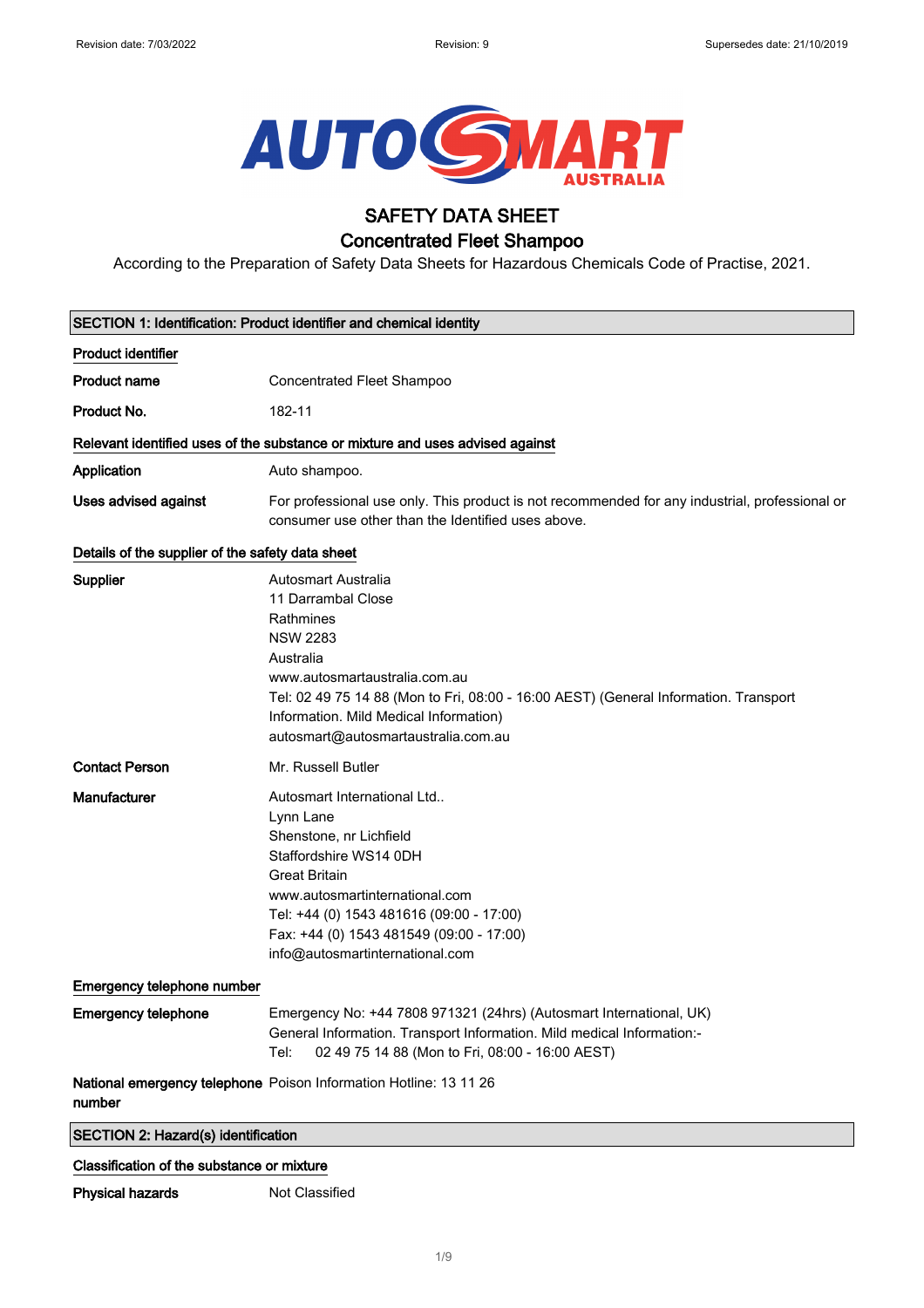

## SAFETY DATA SHEET

Concentrated Fleet Shampoo

According to the Preparation of Safety Data Sheets for Hazardous Chemicals Code of Practise, 2021.

|                                                  | SECTION 1: Identification: Product identifier and chemical identity                                                                                                                                                                                                                                     |
|--------------------------------------------------|---------------------------------------------------------------------------------------------------------------------------------------------------------------------------------------------------------------------------------------------------------------------------------------------------------|
| <b>Product identifier</b>                        |                                                                                                                                                                                                                                                                                                         |
| <b>Product name</b>                              | <b>Concentrated Fleet Shampoo</b>                                                                                                                                                                                                                                                                       |
| Product No.                                      | 182-11                                                                                                                                                                                                                                                                                                  |
|                                                  | Relevant identified uses of the substance or mixture and uses advised against                                                                                                                                                                                                                           |
| Application                                      | Auto shampoo.                                                                                                                                                                                                                                                                                           |
| Uses advised against                             | For professional use only. This product is not recommended for any industrial, professional or<br>consumer use other than the Identified uses above.                                                                                                                                                    |
| Details of the supplier of the safety data sheet |                                                                                                                                                                                                                                                                                                         |
| Supplier                                         | <b>Autosmart Australia</b><br>11 Darrambal Close<br>Rathmines<br><b>NSW 2283</b><br>Australia<br>www.autosmartaustralia.com.au<br>Tel: 02 49 75 14 88 (Mon to Fri, 08:00 - 16:00 AEST) (General Information. Transport<br>Information. Mild Medical Information)<br>autosmart@autosmartaustralia.com.au |
| <b>Contact Person</b>                            | Mr. Russell Butler                                                                                                                                                                                                                                                                                      |
| Manufacturer                                     | Autosmart International Ltd<br>Lynn Lane<br>Shenstone, nr Lichfield<br>Staffordshire WS14 0DH<br><b>Great Britain</b><br>www.autosmartinternational.com<br>Tel: +44 (0) 1543 481616 (09:00 - 17:00)<br>Fax: +44 (0) 1543 481549 (09:00 - 17:00)<br>info@autosmartinternational.com                      |
| Emergency telephone number                       |                                                                                                                                                                                                                                                                                                         |
| <b>Emergency telephone</b>                       | Emergency No: +44 7808 971321 (24hrs) (Autosmart International, UK)<br>General Information. Transport Information. Mild medical Information:-<br>02 49 75 14 88 (Mon to Fri, 08:00 - 16:00 AEST)<br>Tel:                                                                                                |
| number                                           | National emergency telephone Poison Information Hotline: 13 11 26                                                                                                                                                                                                                                       |
| SECTION 2: Hazard(s) identification              |                                                                                                                                                                                                                                                                                                         |
| Classification of the substance or mixture       |                                                                                                                                                                                                                                                                                                         |
| <b>Physical hazards</b>                          | Not Classified                                                                                                                                                                                                                                                                                          |

1/ 9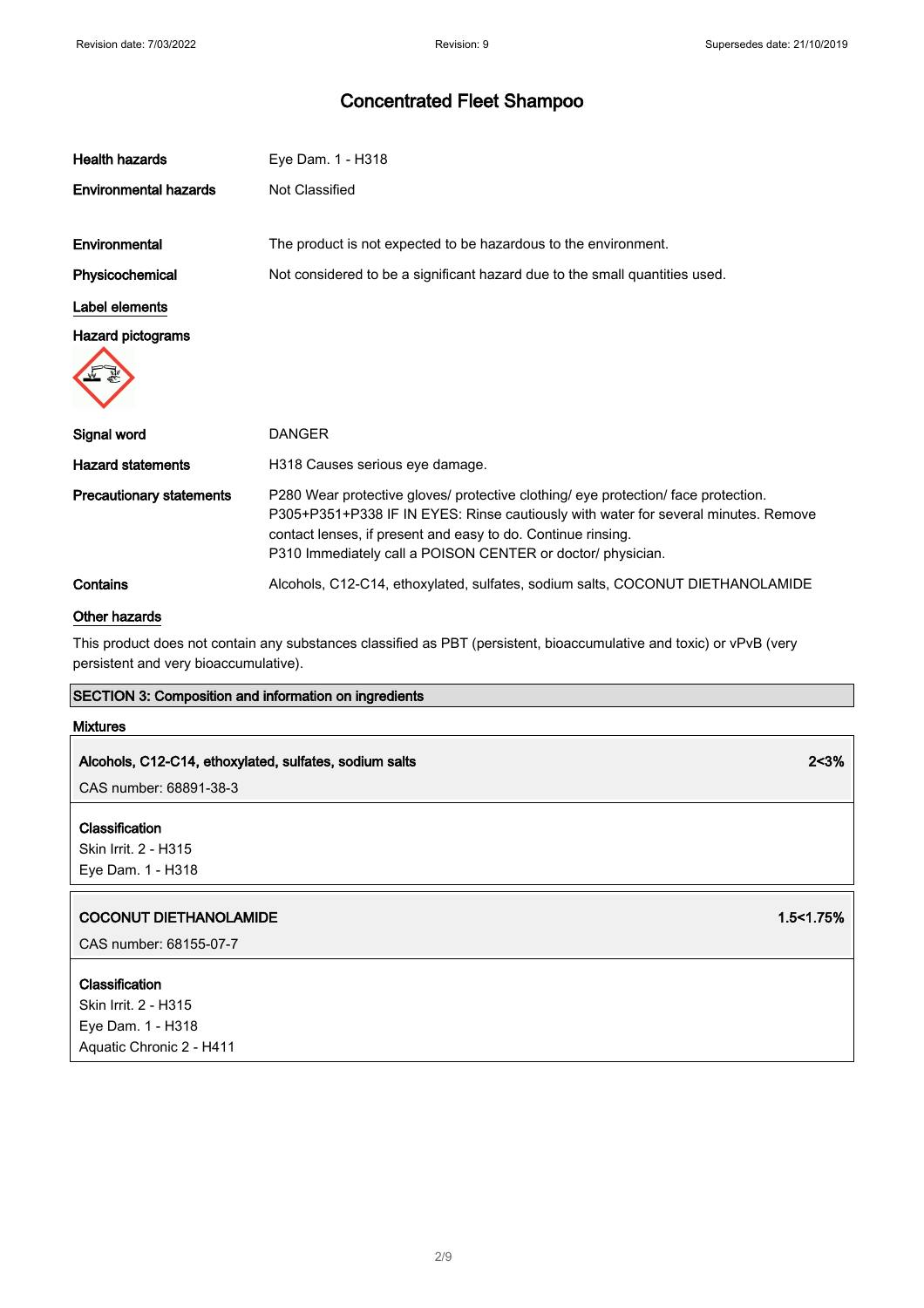| <b>Health hazards</b>           | Eye Dam. 1 - H318                                                                                                                                                                                                                                                                                       |
|---------------------------------|---------------------------------------------------------------------------------------------------------------------------------------------------------------------------------------------------------------------------------------------------------------------------------------------------------|
| <b>Environmental hazards</b>    | Not Classified                                                                                                                                                                                                                                                                                          |
|                                 |                                                                                                                                                                                                                                                                                                         |
| Environmental                   | The product is not expected to be hazardous to the environment.                                                                                                                                                                                                                                         |
| Physicochemical                 | Not considered to be a significant hazard due to the small quantities used.                                                                                                                                                                                                                             |
| Label elements                  |                                                                                                                                                                                                                                                                                                         |
| Hazard pictograms               |                                                                                                                                                                                                                                                                                                         |
| Signal word                     | <b>DANGER</b>                                                                                                                                                                                                                                                                                           |
| <b>Hazard statements</b>        | H318 Causes serious eye damage.                                                                                                                                                                                                                                                                         |
| <b>Precautionary statements</b> | P280 Wear protective gloves/ protective clothing/ eye protection/ face protection.<br>P305+P351+P338 IF IN EYES: Rinse cautiously with water for several minutes. Remove<br>contact lenses, if present and easy to do. Continue rinsing.<br>P310 Immediately call a POISON CENTER or doctor/ physician. |
| Contains                        | Alcohols, C12-C14, ethoxylated, sulfates, sodium salts, COCONUT DIETHANOLAMIDE                                                                                                                                                                                                                          |

#### Other hazards

This product does not contain any substances classified as PBT (persistent, bioaccumulative and toxic) or vPvB (very persistent and very bioaccumulative).

#### SECTION 3: Composition and information on ingredients

#### Mixtures

## Alcohols, C12-C14, ethoxylated, sulfates, sodium salts 2<3%

CAS number: 68891-38-3

Classification Skin Irrit. 2 - H315 Eye Dam. 1 - H318

## COCONUT DIETHANOLAMIDE **1.5** and 1.5 cm and 1.5 cm and 1.5 cm and 1.5 cm and 1.5 cm and 1.5 cm and 1.5 cm and 1.5 cm and 1.5 cm and 1.5 cm and 1.5 cm and 1.5 cm and 1.5 cm and 1.5 cm and 1.5 cm and 1.5 cm and 1.5 cm and 1.

CAS number: 68155-07-7

## Classification

Skin Irrit. 2 - H315 Eye Dam. 1 - H318 Aquatic Chronic 2 - H411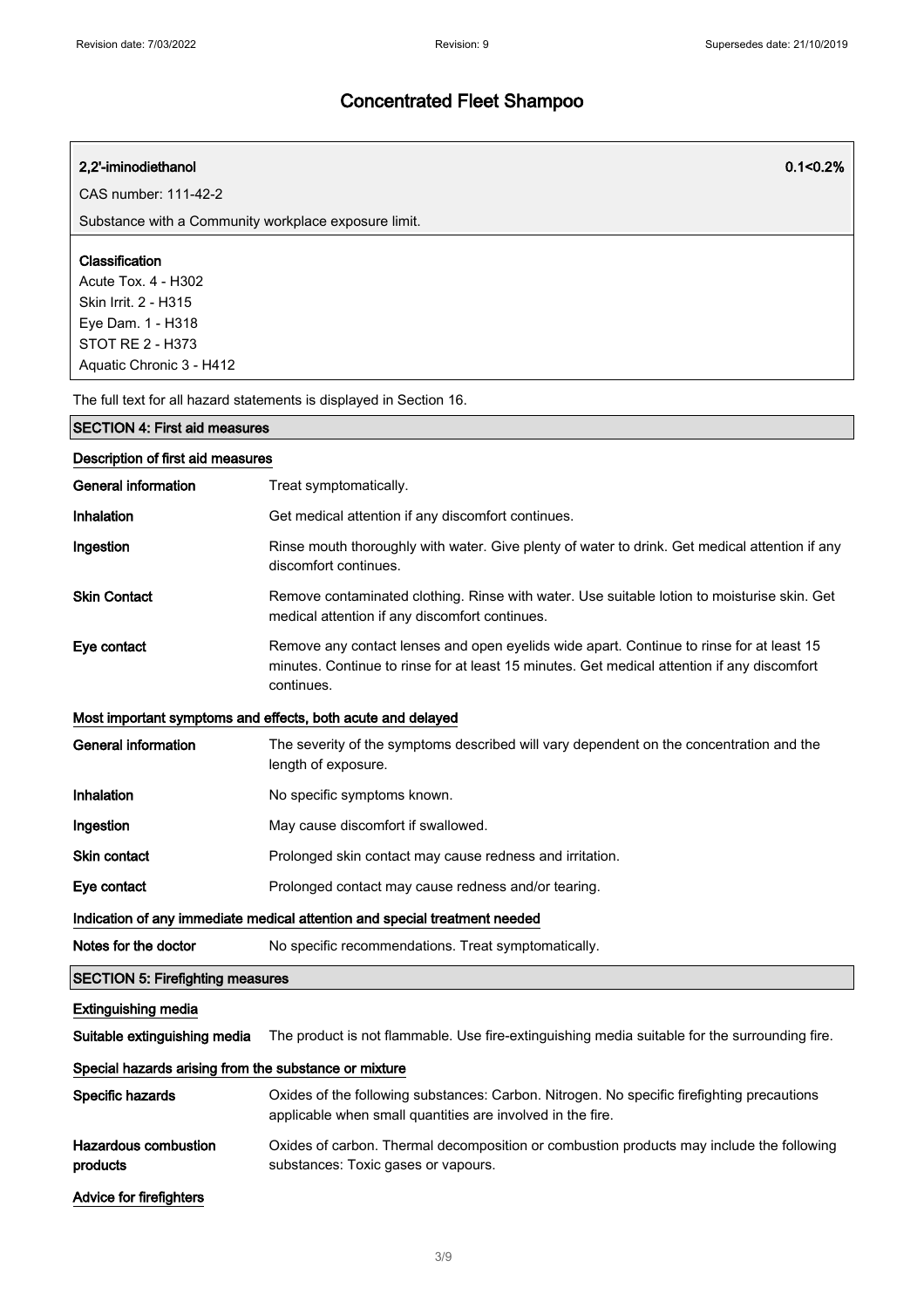## 2,2'-iminodiethanol 0.1<0.2%

CAS number: 111-42-2

Substance with a Community workplace exposure limit.

### Classification

Acute Tox. 4 - H302 Skin Irrit. 2 - H315 Eye Dam. 1 - H318 STOT RE 2 - H373 Aquatic Chronic 3 - H412

The full text for all hazard statements is displayed in Section 16.

### SECTION 4: First aid measures

| Description of first aid measures                     |                                                                                                                                                                                                       |  |
|-------------------------------------------------------|-------------------------------------------------------------------------------------------------------------------------------------------------------------------------------------------------------|--|
| <b>General information</b>                            | Treat symptomatically.                                                                                                                                                                                |  |
| <b>Inhalation</b>                                     | Get medical attention if any discomfort continues.                                                                                                                                                    |  |
| Ingestion                                             | Rinse mouth thoroughly with water. Give plenty of water to drink. Get medical attention if any<br>discomfort continues.                                                                               |  |
| <b>Skin Contact</b>                                   | Remove contaminated clothing. Rinse with water. Use suitable lotion to moisturise skin. Get<br>medical attention if any discomfort continues.                                                         |  |
| Eye contact                                           | Remove any contact lenses and open eyelids wide apart. Continue to rinse for at least 15<br>minutes. Continue to rinse for at least 15 minutes. Get medical attention if any discomfort<br>continues. |  |
|                                                       | Most important symptoms and effects, both acute and delayed                                                                                                                                           |  |
| <b>General information</b>                            | The severity of the symptoms described will vary dependent on the concentration and the<br>length of exposure.                                                                                        |  |
| Inhalation                                            | No specific symptoms known.                                                                                                                                                                           |  |
| Ingestion                                             | May cause discomfort if swallowed.                                                                                                                                                                    |  |
| <b>Skin contact</b>                                   | Prolonged skin contact may cause redness and irritation.                                                                                                                                              |  |
| Eye contact                                           | Prolonged contact may cause redness and/or tearing.                                                                                                                                                   |  |
|                                                       | Indication of any immediate medical attention and special treatment needed                                                                                                                            |  |
| Notes for the doctor                                  | No specific recommendations. Treat symptomatically.                                                                                                                                                   |  |
| <b>SECTION 5: Firefighting measures</b>               |                                                                                                                                                                                                       |  |
| <b>Extinguishing media</b>                            |                                                                                                                                                                                                       |  |
| Suitable extinguishing media                          | The product is not flammable. Use fire-extinguishing media suitable for the surrounding fire.                                                                                                         |  |
| Special hazards arising from the substance or mixture |                                                                                                                                                                                                       |  |
| Specific hazards                                      | Oxides of the following substances: Carbon. Nitrogen. No specific firefighting precautions<br>applicable when small quantities are involved in the fire.                                              |  |
| <b>Hazardous combustion</b><br>products               | Oxides of carbon. Thermal decomposition or combustion products may include the following<br>substances: Toxic gases or vapours.                                                                       |  |
| Advice for firefighters                               |                                                                                                                                                                                                       |  |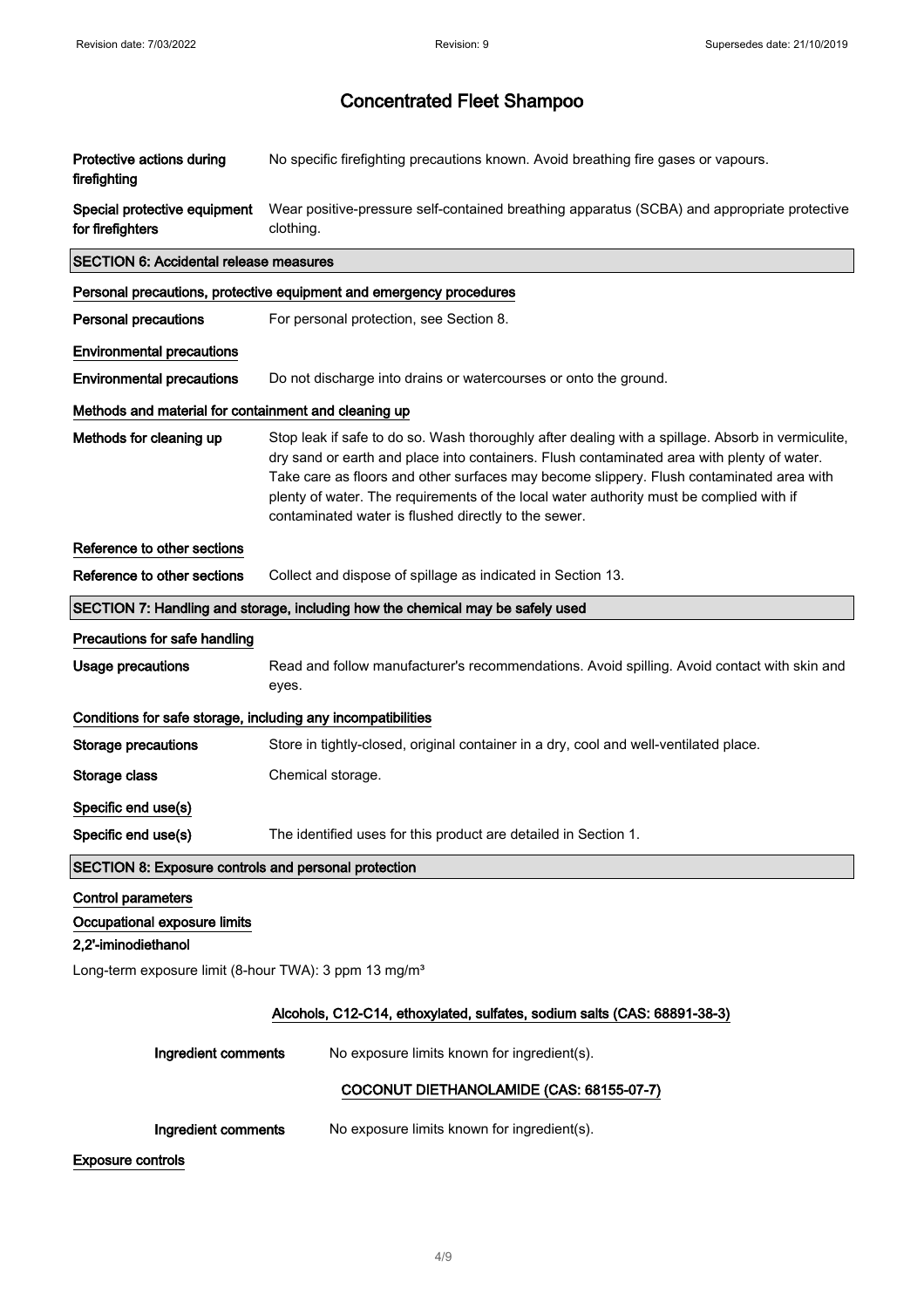| Protective actions during<br>firefighting                                        | No specific firefighting precautions known. Avoid breathing fire gases or vapours.                                                                                                                                                                                                                                                                                                                                                             |
|----------------------------------------------------------------------------------|------------------------------------------------------------------------------------------------------------------------------------------------------------------------------------------------------------------------------------------------------------------------------------------------------------------------------------------------------------------------------------------------------------------------------------------------|
| Special protective equipment<br>for firefighters                                 | Wear positive-pressure self-contained breathing apparatus (SCBA) and appropriate protective<br>clothing.                                                                                                                                                                                                                                                                                                                                       |
| <b>SECTION 6: Accidental release measures</b>                                    |                                                                                                                                                                                                                                                                                                                                                                                                                                                |
|                                                                                  | Personal precautions, protective equipment and emergency procedures                                                                                                                                                                                                                                                                                                                                                                            |
| <b>Personal precautions</b>                                                      | For personal protection, see Section 8.                                                                                                                                                                                                                                                                                                                                                                                                        |
| <b>Environmental precautions</b>                                                 |                                                                                                                                                                                                                                                                                                                                                                                                                                                |
| <b>Environmental precautions</b>                                                 | Do not discharge into drains or watercourses or onto the ground.                                                                                                                                                                                                                                                                                                                                                                               |
| Methods and material for containment and cleaning up                             |                                                                                                                                                                                                                                                                                                                                                                                                                                                |
| Methods for cleaning up                                                          | Stop leak if safe to do so. Wash thoroughly after dealing with a spillage. Absorb in vermiculite,<br>dry sand or earth and place into containers. Flush contaminated area with plenty of water.<br>Take care as floors and other surfaces may become slippery. Flush contaminated area with<br>plenty of water. The requirements of the local water authority must be complied with if<br>contaminated water is flushed directly to the sewer. |
| Reference to other sections                                                      |                                                                                                                                                                                                                                                                                                                                                                                                                                                |
| Reference to other sections                                                      | Collect and dispose of spillage as indicated in Section 13.                                                                                                                                                                                                                                                                                                                                                                                    |
|                                                                                  | SECTION 7: Handling and storage, including how the chemical may be safely used                                                                                                                                                                                                                                                                                                                                                                 |
| Precautions for safe handling                                                    |                                                                                                                                                                                                                                                                                                                                                                                                                                                |
| <b>Usage precautions</b>                                                         | Read and follow manufacturer's recommendations. Avoid spilling. Avoid contact with skin and<br>eyes.                                                                                                                                                                                                                                                                                                                                           |
| Conditions for safe storage, including any incompatibilities                     |                                                                                                                                                                                                                                                                                                                                                                                                                                                |
| <b>Storage precautions</b>                                                       | Store in tightly-closed, original container in a dry, cool and well-ventilated place.                                                                                                                                                                                                                                                                                                                                                          |
| Storage class                                                                    | Chemical storage.                                                                                                                                                                                                                                                                                                                                                                                                                              |
| Specific end use(s)                                                              |                                                                                                                                                                                                                                                                                                                                                                                                                                                |
| Specific end use(s)                                                              | The identified uses for this product are detailed in Section 1.                                                                                                                                                                                                                                                                                                                                                                                |
| <b>SECTION 8: Exposure controls and personal protection</b>                      |                                                                                                                                                                                                                                                                                                                                                                                                                                                |
| <b>Control parameters</b><br>Occupational exposure limits<br>2,2'-iminodiethanol |                                                                                                                                                                                                                                                                                                                                                                                                                                                |
| Long-term exposure limit (8-hour TWA): 3 ppm 13 mg/m <sup>3</sup>                |                                                                                                                                                                                                                                                                                                                                                                                                                                                |
|                                                                                  | Alcohols, C12-C14, ethoxylated, sulfates, sodium salts (CAS: 68891-38-3)                                                                                                                                                                                                                                                                                                                                                                       |
| Ingredient comments                                                              | No exposure limits known for ingredient(s).                                                                                                                                                                                                                                                                                                                                                                                                    |
|                                                                                  | COCONUT DIETHANOLAMIDE (CAS: 68155-07-7)                                                                                                                                                                                                                                                                                                                                                                                                       |
| Ingredient comments                                                              | No exposure limits known for ingredient(s).                                                                                                                                                                                                                                                                                                                                                                                                    |
| <b>Exposure controls</b>                                                         |                                                                                                                                                                                                                                                                                                                                                                                                                                                |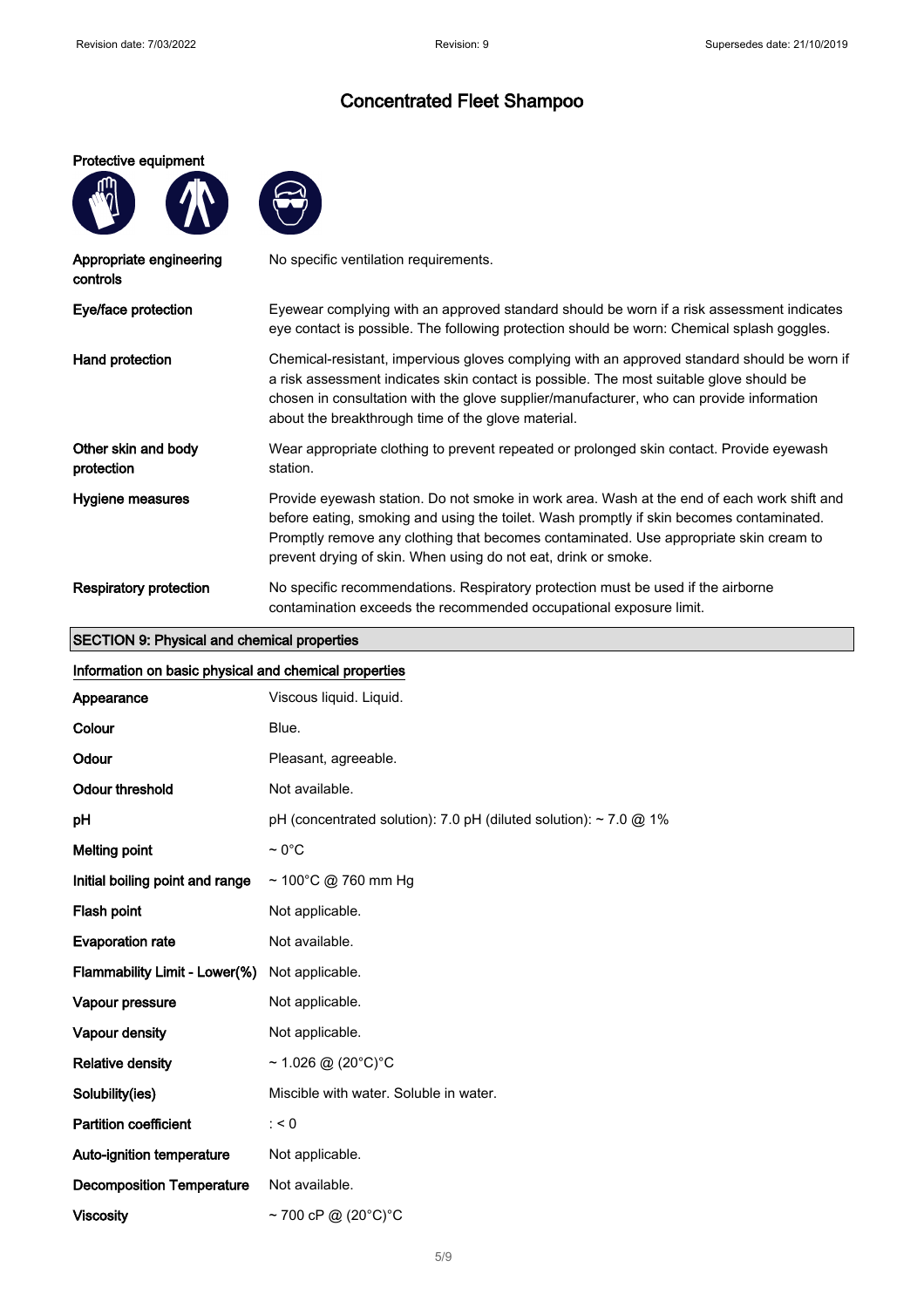#### Protective equipment

W



| Appropriate engineering<br>controls | No specific ventilation requirements.                                                                                                                                                                                                                                                                                                             |
|-------------------------------------|---------------------------------------------------------------------------------------------------------------------------------------------------------------------------------------------------------------------------------------------------------------------------------------------------------------------------------------------------|
| Eye/face protection                 | Eyewear complying with an approved standard should be worn if a risk assessment indicates<br>eye contact is possible. The following protection should be worn: Chemical splash goggles.                                                                                                                                                           |
| Hand protection                     | Chemical-resistant, impervious gloves complying with an approved standard should be worn if<br>a risk assessment indicates skin contact is possible. The most suitable glove should be<br>chosen in consultation with the glove supplier/manufacturer, who can provide information<br>about the breakthrough time of the glove material.          |
| Other skin and body<br>protection   | Wear appropriate clothing to prevent repeated or prolonged skin contact. Provide eyewash<br>station.                                                                                                                                                                                                                                              |
| Hygiene measures                    | Provide eyewash station. Do not smoke in work area. Wash at the end of each work shift and<br>before eating, smoking and using the toilet. Wash promptly if skin becomes contaminated.<br>Promptly remove any clothing that becomes contaminated. Use appropriate skin cream to<br>prevent drying of skin. When using do not eat, drink or smoke. |
| <b>Respiratory protection</b>       | No specific recommendations. Respiratory protection must be used if the airborne<br>contamination exceeds the recommended occupational exposure limit.                                                                                                                                                                                            |

## SECTION 9: Physical and chemical properties

| Information on basic physical and chemical properties |                                                                        |
|-------------------------------------------------------|------------------------------------------------------------------------|
| Appearance                                            | Viscous liquid. Liquid.                                                |
| Colour                                                | Blue.                                                                  |
| Odour                                                 | Pleasant, agreeable.                                                   |
| <b>Odour threshold</b>                                | Not available.                                                         |
| pH                                                    | pH (concentrated solution): 7.0 pH (diluted solution): $\sim$ 7.0 @ 1% |
| <b>Melting point</b>                                  | $\sim 0^{\circ}$ C                                                     |
| Initial boiling point and range                       | ~ 100°C @ 760 mm Hg                                                    |
| Flash point                                           | Not applicable.                                                        |
| <b>Evaporation rate</b>                               | Not available.                                                         |
| Flammability Limit - Lower(%)                         | Not applicable.                                                        |
| Vapour pressure                                       | Not applicable.                                                        |
| Vapour density                                        | Not applicable.                                                        |
| <b>Relative density</b>                               | $\sim$ 1.026 @ (20°C)°C                                                |
| Solubility(ies)                                       | Miscible with water. Soluble in water.                                 |
| <b>Partition coefficient</b>                          | : 0.5                                                                  |
| Auto-ignition temperature                             | Not applicable.                                                        |
| <b>Decomposition Temperature</b>                      | Not available.                                                         |
| <b>Viscosity</b>                                      | ~700 cP @ $(20^{\circ}C)^{\circ}C$                                     |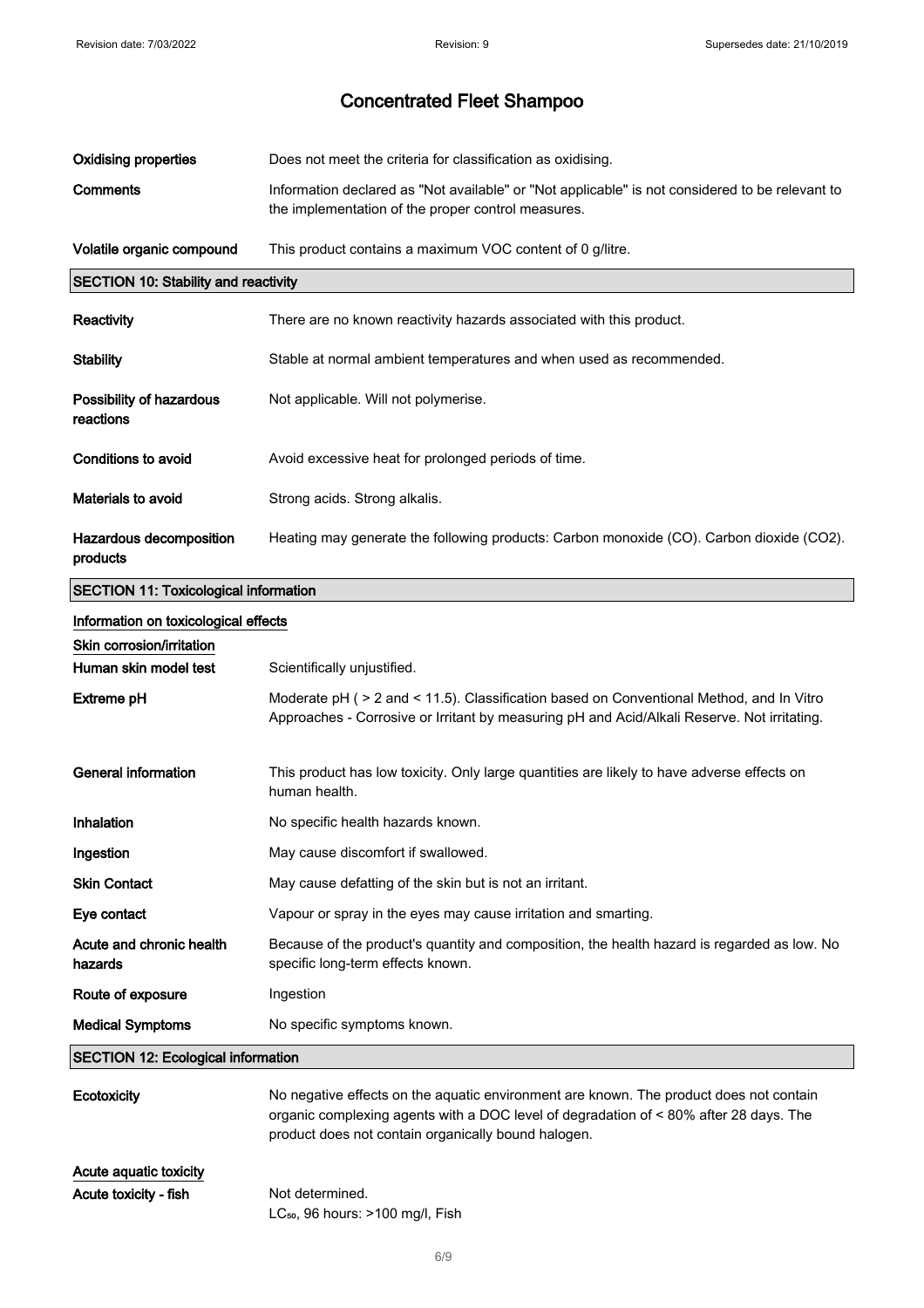| Oxidising properties | Does not meet the criteria for classification as oxidising.                                                                                           |
|----------------------|-------------------------------------------------------------------------------------------------------------------------------------------------------|
| Comments             | Information declared as "Not available" or "Not applicable" is not considered to be relevant to<br>the implementation of the proper control measures. |

### Volatile organic compound This product contains a maximum VOC content of 0 g/litre.

## SECTION 10: Stability and reactivity

| Reactivity                            | There are no known reactivity hazards associated with this product.                      |
|---------------------------------------|------------------------------------------------------------------------------------------|
| Stability                             | Stable at normal ambient temperatures and when used as recommended.                      |
| Possibility of hazardous<br>reactions | Not applicable. Will not polymerise.                                                     |
| Conditions to avoid                   | Avoid excessive heat for prolonged periods of time.                                      |
| Materials to avoid                    | Strong acids. Strong alkalis.                                                            |
| Hazardous decomposition<br>products   | Heating may generate the following products: Carbon monoxide (CO). Carbon dioxide (CO2). |

### SECTION 11: Toxicological information

| Information on toxicological effects      |                                                                                                                                                                                         |
|-------------------------------------------|-----------------------------------------------------------------------------------------------------------------------------------------------------------------------------------------|
| Skin corrosion/irritation                 |                                                                                                                                                                                         |
| Human skin model test                     | Scientifically unjustified.                                                                                                                                                             |
| <b>Extreme pH</b>                         | Moderate pH ( > 2 and < 11.5). Classification based on Conventional Method, and In Vitro<br>Approaches - Corrosive or Irritant by measuring pH and Acid/Alkali Reserve. Not irritating. |
| <b>General information</b>                | This product has low toxicity. Only large quantities are likely to have adverse effects on<br>human health.                                                                             |
| Inhalation                                | No specific health hazards known.                                                                                                                                                       |
| Ingestion                                 | May cause discomfort if swallowed.                                                                                                                                                      |
| <b>Skin Contact</b>                       | May cause defatting of the skin but is not an irritant.                                                                                                                                 |
| Eye contact                               | Vapour or spray in the eyes may cause irritation and smarting.                                                                                                                          |
| Acute and chronic health<br>hazards       | Because of the product's quantity and composition, the health hazard is regarded as low. No<br>specific long-term effects known.                                                        |
| Route of exposure                         | Ingestion                                                                                                                                                                               |
| <b>Medical Symptoms</b>                   | No specific symptoms known.                                                                                                                                                             |
| <b>SECTION 12: Ecological information</b> |                                                                                                                                                                                         |
| 医不会有不可不能。                                 | Ala waanatiina affaata am tha aanistia amin'ananaant ana hoganna. Tha woqalinat dagaa wat aantain                                                                                       |

| Ecotoxicity            | No negative effects on the aguatic environment are known. The product does not contain<br>organic complexing agents with a DOC level of degradation of <80% after 28 days. The<br>product does not contain organically bound halogen. |
|------------------------|---------------------------------------------------------------------------------------------------------------------------------------------------------------------------------------------------------------------------------------|
| Acute aquatic toxicity |                                                                                                                                                                                                                                       |
| Acute toxicity - fish  | Not determined.                                                                                                                                                                                                                       |
|                        | $LC_{50}$ , 96 hours: $>100$ mg/l, Fish                                                                                                                                                                                               |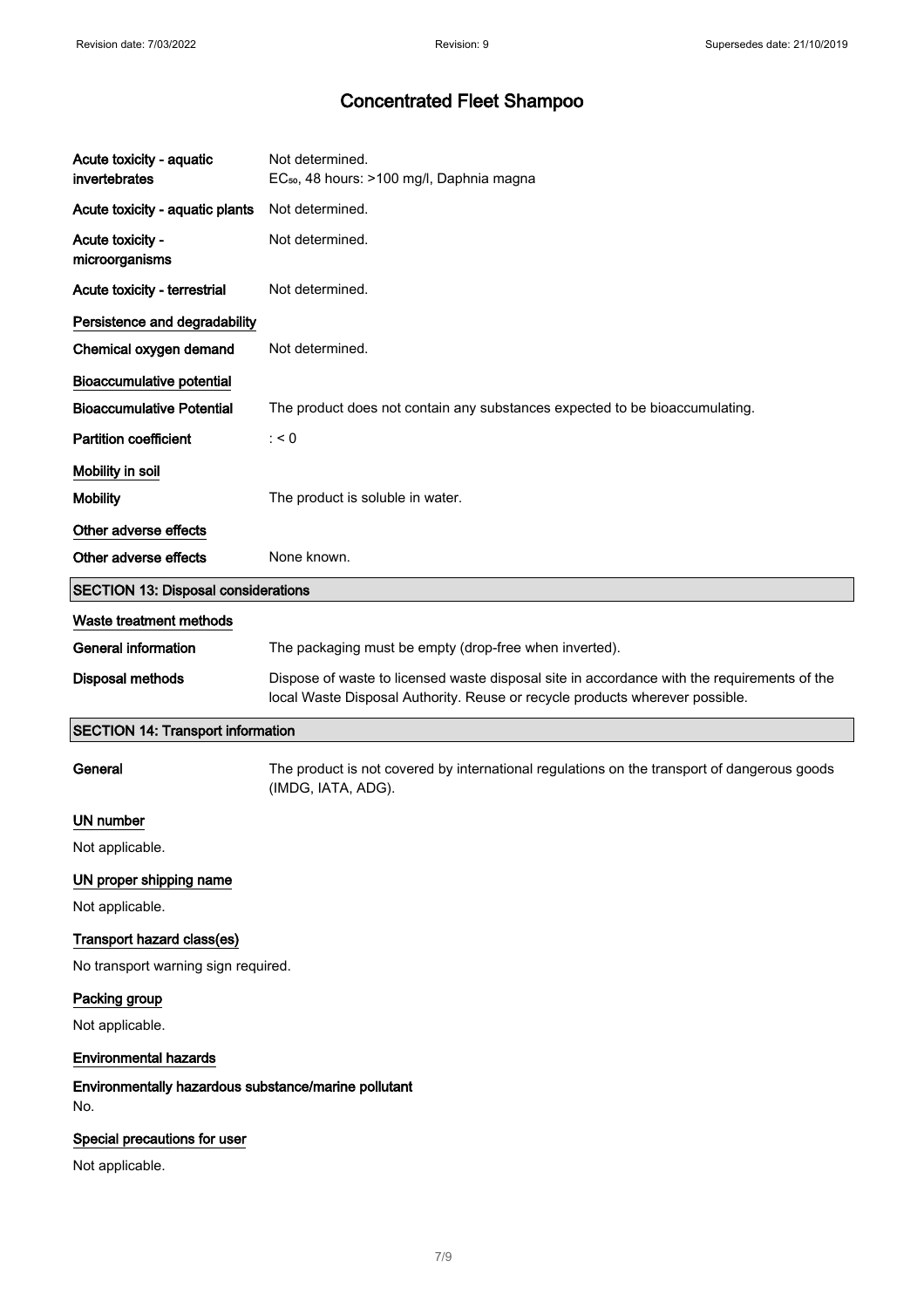| Acute toxicity - aquatic<br>invertebrates                   | Not determined.<br>EC <sub>50</sub> , 48 hours: >100 mg/l, Daphnia magna                                          |
|-------------------------------------------------------------|-------------------------------------------------------------------------------------------------------------------|
| Acute toxicity - aquatic plants                             | Not determined.                                                                                                   |
| Acute toxicity -<br>microorganisms                          | Not determined.                                                                                                   |
| Acute toxicity - terrestrial                                | Not determined.                                                                                                   |
| Persistence and degradability                               |                                                                                                                   |
| Chemical oxygen demand                                      | Not determined.                                                                                                   |
| <b>Bioaccumulative potential</b>                            |                                                                                                                   |
| <b>Bioaccumulative Potential</b>                            | The product does not contain any substances expected to be bioaccumulating.                                       |
| <b>Partition coefficient</b>                                | : 0                                                                                                               |
| Mobility in soil                                            |                                                                                                                   |
| <b>Mobility</b>                                             | The product is soluble in water.                                                                                  |
| Other adverse effects                                       |                                                                                                                   |
| Other adverse effects                                       | None known.                                                                                                       |
| <b>SECTION 13: Disposal considerations</b>                  |                                                                                                                   |
| Waste treatment methods                                     |                                                                                                                   |
| <b>General information</b>                                  | The packaging must be empty (drop-free when inverted).                                                            |
| <b>Disposal methods</b>                                     | Dispose of waste to licensed waste disposal site in accordance with the requirements of the                       |
|                                                             | local Waste Disposal Authority. Reuse or recycle products wherever possible.                                      |
| <b>SECTION 14: Transport information</b>                    |                                                                                                                   |
| General                                                     | The product is not covered by international regulations on the transport of dangerous goods<br>(IMDG, IATA, ADG). |
| <b>UN number</b>                                            |                                                                                                                   |
| Not applicable.                                             |                                                                                                                   |
| UN proper shipping name                                     |                                                                                                                   |
| Not applicable.                                             |                                                                                                                   |
| Transport hazard class(es)                                  |                                                                                                                   |
| No transport warning sign required.                         |                                                                                                                   |
| Packing group                                               |                                                                                                                   |
| Not applicable.                                             |                                                                                                                   |
| <b>Environmental hazards</b>                                |                                                                                                                   |
| Environmentally hazardous substance/marine pollutant<br>No. |                                                                                                                   |
| Special precautions for user                                |                                                                                                                   |
| Not applicable.                                             |                                                                                                                   |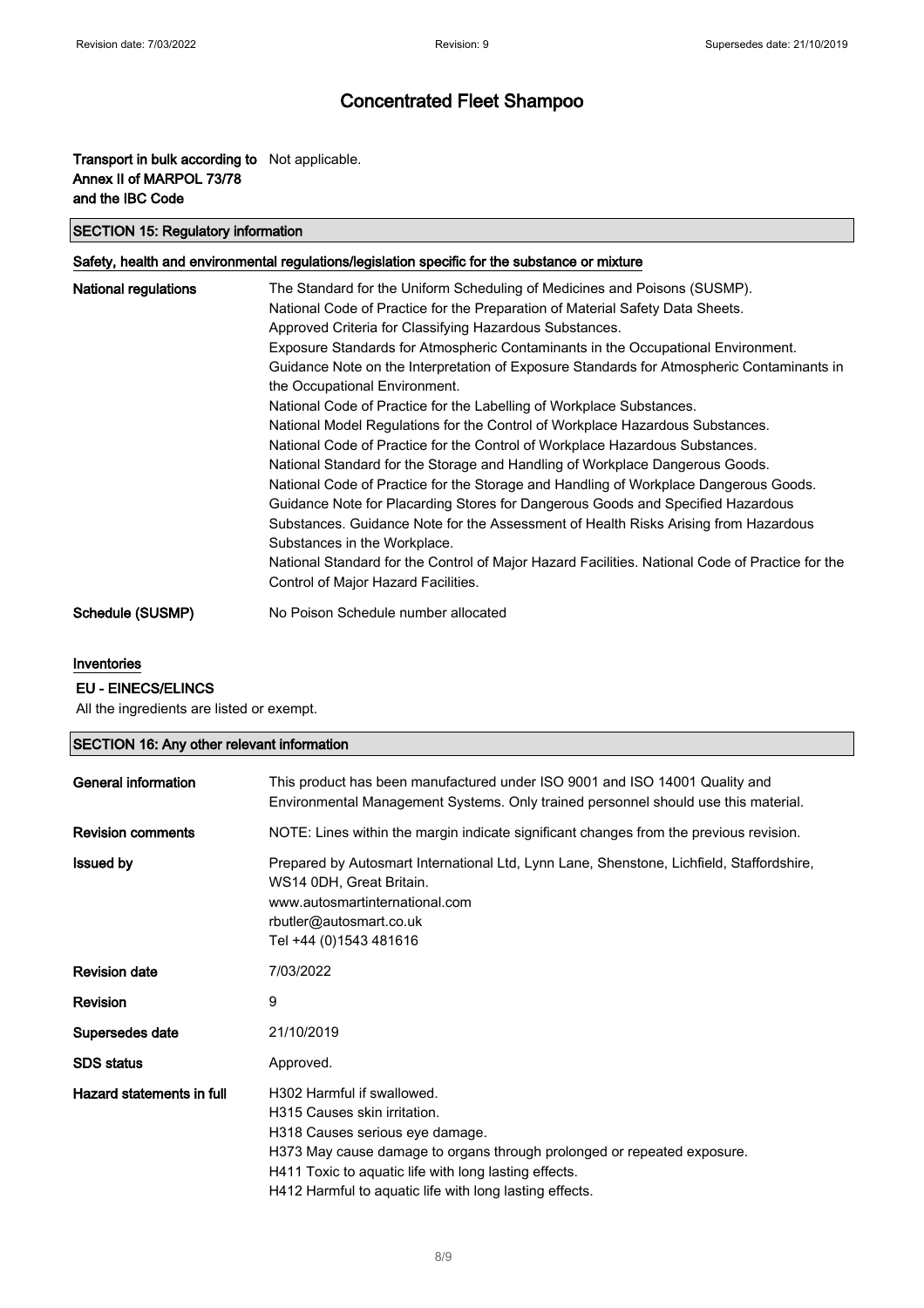### Transport in bulk according to Not applicable. Annex II of MARPOL 73/78 and the IBC Code

## SECTION 15: Regulatory information

|                             | Safety, health and environmental regulations/legislation specific for the substance or mixture  |
|-----------------------------|-------------------------------------------------------------------------------------------------|
| <b>National regulations</b> | The Standard for the Uniform Scheduling of Medicines and Poisons (SUSMP).                       |
|                             | National Code of Practice for the Preparation of Material Safety Data Sheets.                   |
|                             | Approved Criteria for Classifying Hazardous Substances.                                         |
|                             | Exposure Standards for Atmospheric Contaminants in the Occupational Environment.                |
|                             | Guidance Note on the Interpretation of Exposure Standards for Atmospheric Contaminants in       |
|                             | the Occupational Environment.                                                                   |
|                             | National Code of Practice for the Labelling of Workplace Substances.                            |
|                             | National Model Regulations for the Control of Workplace Hazardous Substances.                   |
|                             | National Code of Practice for the Control of Workplace Hazardous Substances.                    |
|                             | National Standard for the Storage and Handling of Workplace Dangerous Goods.                    |
|                             | National Code of Practice for the Storage and Handling of Workplace Dangerous Goods.            |
|                             | Guidance Note for Placarding Stores for Dangerous Goods and Specified Hazardous                 |
|                             | Substances. Guidance Note for the Assessment of Health Risks Arising from Hazardous             |
|                             | Substances in the Workplace.                                                                    |
|                             | National Standard for the Control of Major Hazard Facilities. National Code of Practice for the |
|                             | Control of Major Hazard Facilities.                                                             |
| Schedule (SUSMP)            | No Poison Schedule number allocated                                                             |

#### Inventories

EU - EINECS/ELINCS

All the ingredients are listed or exempt.

| <b>SECTION 16: Any other relevant information</b> |                                                                                                                                                                                                                                                                                              |
|---------------------------------------------------|----------------------------------------------------------------------------------------------------------------------------------------------------------------------------------------------------------------------------------------------------------------------------------------------|
| General information                               | This product has been manufactured under ISO 9001 and ISO 14001 Quality and<br>Environmental Management Systems. Only trained personnel should use this material.                                                                                                                            |
| <b>Revision comments</b>                          | NOTE: Lines within the margin indicate significant changes from the previous revision.                                                                                                                                                                                                       |
| <b>Issued by</b>                                  | Prepared by Autosmart International Ltd, Lynn Lane, Shenstone, Lichfield, Staffordshire,<br>WS14 0DH, Great Britain.<br>www.autosmartinternational.com<br>rbutler@autosmart.co.uk<br>Tel +44 (0)1543 481616                                                                                  |
| <b>Revision date</b>                              | 7/03/2022                                                                                                                                                                                                                                                                                    |
| <b>Revision</b>                                   | 9                                                                                                                                                                                                                                                                                            |
| Supersedes date                                   | 21/10/2019                                                                                                                                                                                                                                                                                   |
| <b>SDS</b> status                                 | Approved.                                                                                                                                                                                                                                                                                    |
| Hazard statements in full                         | H302 Harmful if swallowed.<br>H315 Causes skin irritation.<br>H318 Causes serious eye damage.<br>H373 May cause damage to organs through prolonged or repeated exposure.<br>H411 Toxic to aquatic life with long lasting effects.<br>H412 Harmful to aquatic life with long lasting effects. |